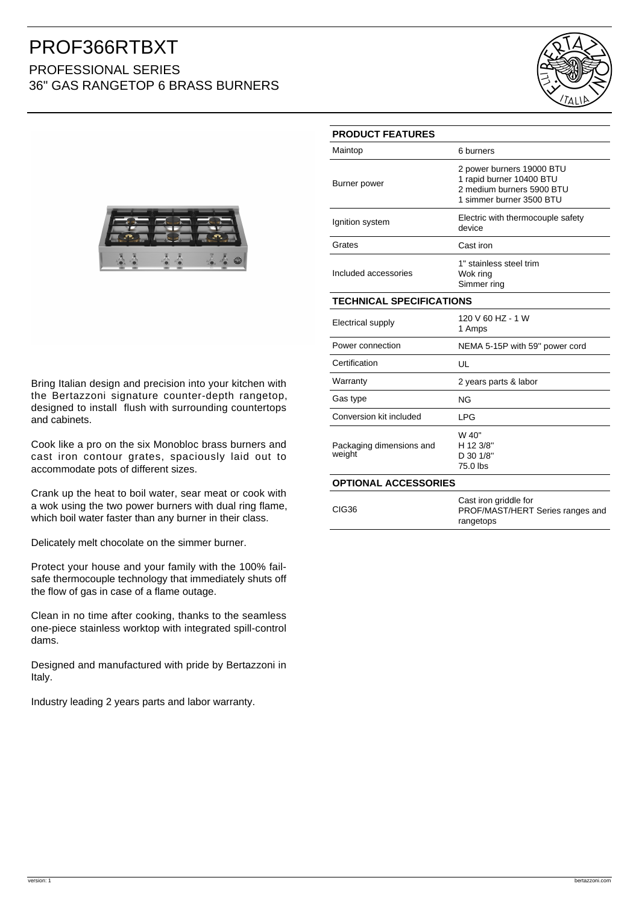## PROF366RTBXT PROFESSIONAL SERIES 36" GAS RANGETOP 6 BRASS BURNERS





Bring Italian design and precision into your kitchen with the Bertazzoni signature counter-depth rangetop, designed to install flush with surrounding countertops and cabinets.

Cook like a pro on the six Monobloc brass burners and cast iron contour grates, spaciously laid out to accommodate pots of different sizes.

Crank up the heat to boil water, sear meat or cook with a wok using the two power burners with dual ring flame, which boil water faster than any burner in their class.

Delicately melt chocolate on the simmer burner.

Protect your house and your family with the 100% failsafe thermocouple technology that immediately shuts off the flow of gas in case of a flame outage.

Clean in no time after cooking, thanks to the seamless one-piece stainless worktop with integrated spill-control dams.

Designed and manufactured with pride by Bertazzoni in Italy.

Industry leading 2 years parts and labor warranty.

| <b>PRODUCT FEATURES</b>            |                                                                                                                |
|------------------------------------|----------------------------------------------------------------------------------------------------------------|
| Maintop                            | 6 burners                                                                                                      |
| Burner power                       | 2 power burners 19000 BTU<br>1 rapid burner 10400 BTU<br>2 medium burners 5900 BTU<br>1 simmer burner 3500 BTU |
| Ignition system                    | Electric with thermocouple safety<br>device                                                                    |
| Grates                             | Cast iron                                                                                                      |
| Included accessories               | 1" stainless steel trim<br>Wok ring<br>Simmer ring                                                             |
| <b>TECHNICAL SPECIFICATIONS</b>    |                                                                                                                |
| Electrical supply                  | 120 V 60 HZ - 1 W<br>1 Amps                                                                                    |
| Power connection                   | NEMA 5-15P with 59" power cord                                                                                 |
| Certification                      | UL                                                                                                             |
| Warranty                           | 2 years parts & labor                                                                                          |
| Gas type                           | <b>NG</b>                                                                                                      |
| Conversion kit included            | <b>LPG</b>                                                                                                     |
| Packaging dimensions and<br>weight | W 40"<br>H 12 3/8"<br>D 30 1/8"<br>75.0 lbs                                                                    |
| <b>OPTIONAL ACCESSORIES</b>        |                                                                                                                |
| <b>CIG36</b>                       | Cast iron griddle for<br>PROF/MAST/HERT Series ranges and<br>rangetops                                         |